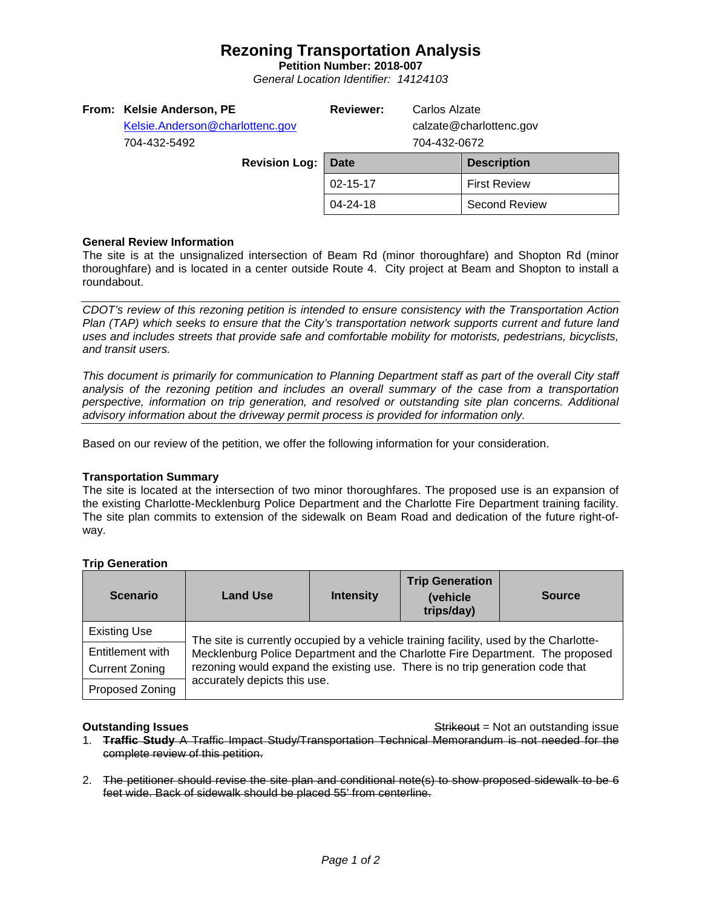# **Rezoning Transportation Analysis**

**Petition Number: 2018-007** *General Location Identifier: 14124103*

| From: Kelsie Anderson, PE<br>Kelsie.Anderson@charlottenc.gov<br>704-432-5492 | <b>Reviewer:</b> | Carlos Alzate<br>calzate@charlottenc.gov<br>704-432-0672 |                      |
|------------------------------------------------------------------------------|------------------|----------------------------------------------------------|----------------------|
| <b>Revision Log:</b>                                                         | Date             |                                                          | <b>Description</b>   |
|                                                                              | 02-15-17         |                                                          | <b>First Review</b>  |
|                                                                              | 04-24-18         |                                                          | <b>Second Review</b> |
|                                                                              |                  |                                                          |                      |

### **General Review Information**

The site is at the unsignalized intersection of Beam Rd (minor thoroughfare) and Shopton Rd (minor thoroughfare) and is located in a center outside Route 4. City project at Beam and Shopton to install a roundabout.

*CDOT's review of this rezoning petition is intended to ensure consistency with the Transportation Action Plan (TAP) which seeks to ensure that the City's transportation network supports current and future land uses and includes streets that provide safe and comfortable mobility for motorists, pedestrians, bicyclists, and transit users.*

*This document is primarily for communication to Planning Department staff as part of the overall City staff analysis of the rezoning petition and includes an overall summary of the case from a transportation perspective, information on trip generation, and resolved or outstanding site plan concerns. Additional advisory information about the driveway permit process is provided for information only.*

Based on our review of the petition, we offer the following information for your consideration.

### **Transportation Summary**

The site is located at the intersection of two minor thoroughfares. The proposed use is an expansion of the existing Charlotte-Mecklenburg Police Department and the Charlotte Fire Department training facility. The site plan commits to extension of the sidewalk on Beam Road and dedication of the future right-ofway.

## **Trip Generation**

| <b>Scenario</b>                           | <b>Land Use</b>                                                                                                                                                                                                                                                                         | <b>Intensity</b> | <b>Trip Generation</b><br>(vehicle<br>trips/day) | <b>Source</b> |  |  |
|-------------------------------------------|-----------------------------------------------------------------------------------------------------------------------------------------------------------------------------------------------------------------------------------------------------------------------------------------|------------------|--------------------------------------------------|---------------|--|--|
| <b>Existing Use</b>                       | The site is currently occupied by a vehicle training facility, used by the Charlotte-<br>Mecklenburg Police Department and the Charlotte Fire Department. The proposed<br>rezoning would expand the existing use. There is no trip generation code that<br>accurately depicts this use. |                  |                                                  |               |  |  |
| Entitlement with<br><b>Current Zoning</b> |                                                                                                                                                                                                                                                                                         |                  |                                                  |               |  |  |
| Proposed Zoning                           |                                                                                                                                                                                                                                                                                         |                  |                                                  |               |  |  |

**Outstanding Issues Container and Strikeout = Not an outstanding issue Strikeout = Not an outstanding issue** 

- 1. **Traffic Study** A Traffic Impact Study/Transportation Technical Memorandum is not needed for the complete review of this petition.
- 2. The petitioner should revise the site plan and conditional note(s) to show proposed sidewalk to be 6 feet wide. Back of sidewalk should be placed 55' from centerline.